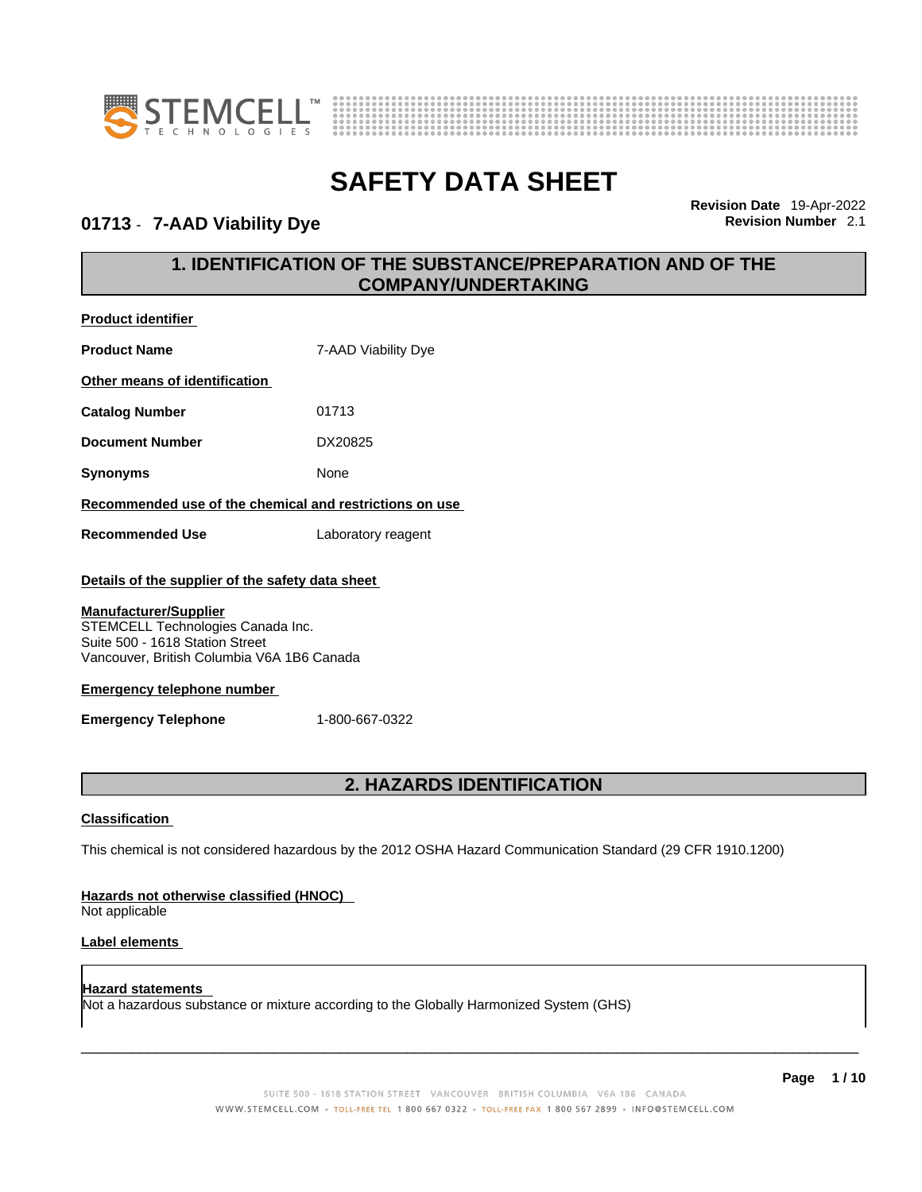



01713 - 7-AAD Viability Dye

**Product identifier**

**Revision Date** 19-Apr-2022

### **1. IDENTIFICATION OF THE SUBSTANCE/PREPARATION AND OF THE COMPANY/UNDERTAKING**

| <b>Product Name</b>                                                                                                                                | 7-AAD Viability Dye                                                                                         |  |
|----------------------------------------------------------------------------------------------------------------------------------------------------|-------------------------------------------------------------------------------------------------------------|--|
| Other means of identification                                                                                                                      |                                                                                                             |  |
| <b>Catalog Number</b>                                                                                                                              | 01713                                                                                                       |  |
| <b>Document Number</b>                                                                                                                             | DX20825                                                                                                     |  |
| <b>Synonyms</b>                                                                                                                                    | None                                                                                                        |  |
|                                                                                                                                                    | Recommended use of the chemical and restrictions on use                                                     |  |
| <b>Recommended Use</b>                                                                                                                             | Laboratory reagent                                                                                          |  |
| Details of the supplier of the safety data sheet                                                                                                   |                                                                                                             |  |
| <b>Manufacturer/Supplier</b><br>STEMCELL Technologies Canada Inc.<br>Suite 500 - 1618 Station Street<br>Vancouver, British Columbia V6A 1B6 Canada |                                                                                                             |  |
| <b>Emergency telephone number</b>                                                                                                                  |                                                                                                             |  |
| <b>Emergency Telephone</b>                                                                                                                         | 1-800-667-0322                                                                                              |  |
| 2. HAZARDS IDENTIFICATION                                                                                                                          |                                                                                                             |  |
| <b>Classification</b>                                                                                                                              |                                                                                                             |  |
|                                                                                                                                                    | This chemical is not considered hazardous by the 2012 OSHA Hazard Communication Standard (29 CFR 1910.1200) |  |
| Hazards not otherwise classified (HNOC)<br>Not applicable                                                                                          |                                                                                                             |  |

#### **Label elements**

**Hazard statements**  Not a hazardous substance or mixture according to the Globally Harmonized System (GHS)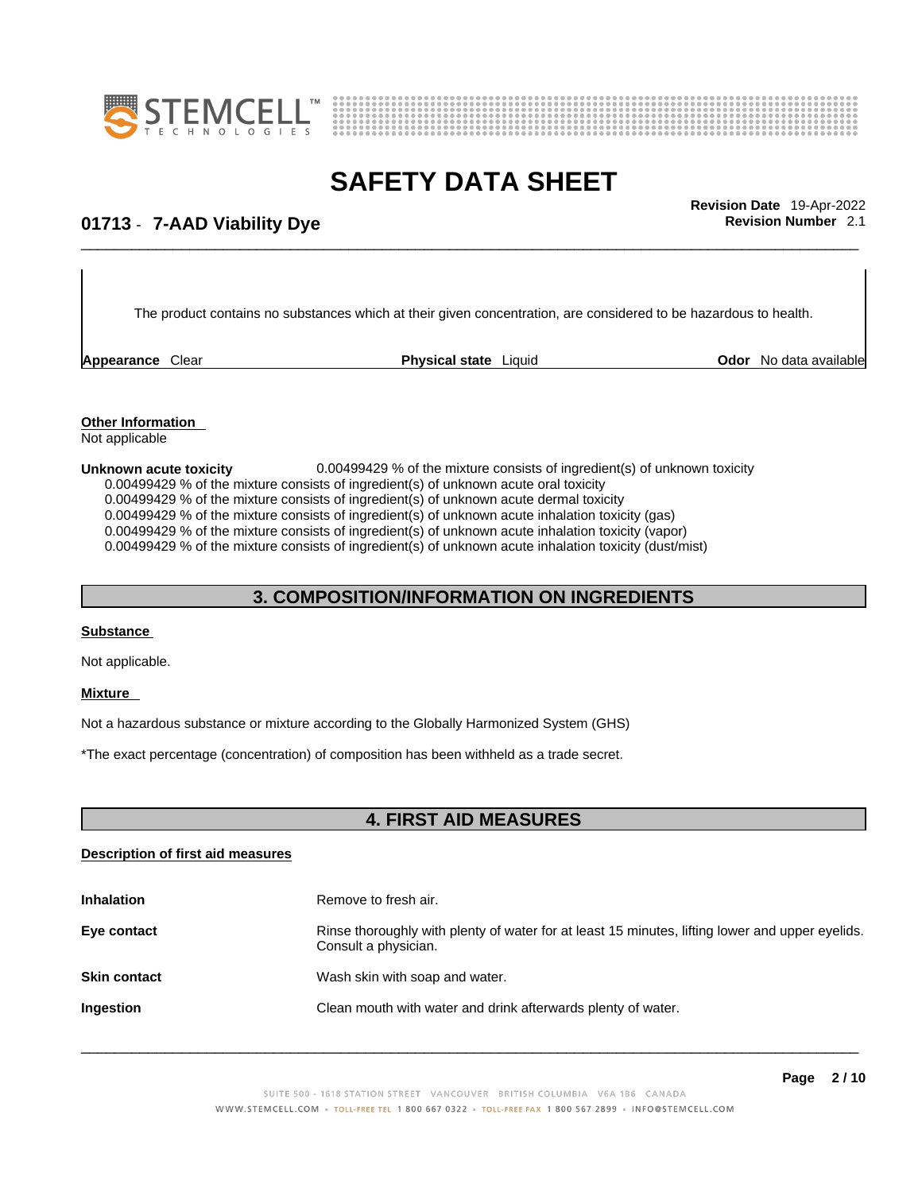



## \_\_\_\_\_\_\_\_\_\_\_\_\_\_\_\_\_\_\_\_\_\_\_\_\_\_\_\_\_\_\_\_\_\_\_\_\_\_\_\_\_\_\_\_\_\_\_\_\_\_\_\_\_\_\_\_\_\_\_\_\_\_\_\_\_\_\_\_\_\_\_\_\_\_\_\_\_\_\_\_\_\_\_\_\_\_\_\_\_\_\_\_\_ **Revision Date** 19-Apr-2022 **01713** - **7-AAD Viability Dye Revision Number** 2.1

The product contains no substances which at their given concentration, are considered to be hazardous to health.

**Appearance Clear <b>Physical state** Liquid

**Odor** No data available

**Other Information**  Not applicable

**Unknown acute toxicity bind in the Universe 20.00499429 % of the mixture consists of ingredient(s) of unknown toxicity** 0.00499429 % of the mixture consists of ingredient(s) of unknown acute oral toxicity  $0.00499429$  % of the mixture consists of ingredient(s) of unknown acute dermal toxicity 0.00499429 % of the mixture consists of ingredient(s) of unknown acute inhalation toxicity (gas) 0.00499429 % of the mixture consists of ingredient(s) of unknown acute inhalation toxicity (vapor) 0.00499429 % of the mixture consists of ingredient(s) of unknown acute inhalation toxicity (dust/mist)

### **3. COMPOSITION/INFORMATION ON INGREDIENTS**

#### **Substance**

Not applicable.

#### **Mixture**

Not a hazardous substance or mixture according to the Globally Harmonized System (GHS)

\*The exact percentage (concentration) of composition has been withheld as a trade secret.

#### **4. FIRST AID MEASURES**

#### **Description of first aid measures**

| <b>Inhalation</b>   | Remove to fresh air.                                                                                                    |
|---------------------|-------------------------------------------------------------------------------------------------------------------------|
| Eye contact         | Rinse thoroughly with plenty of water for at least 15 minutes, lifting lower and upper eyelids.<br>Consult a physician. |
| <b>Skin contact</b> | Wash skin with soap and water.                                                                                          |
| Ingestion           | Clean mouth with water and drink afterwards plenty of water.                                                            |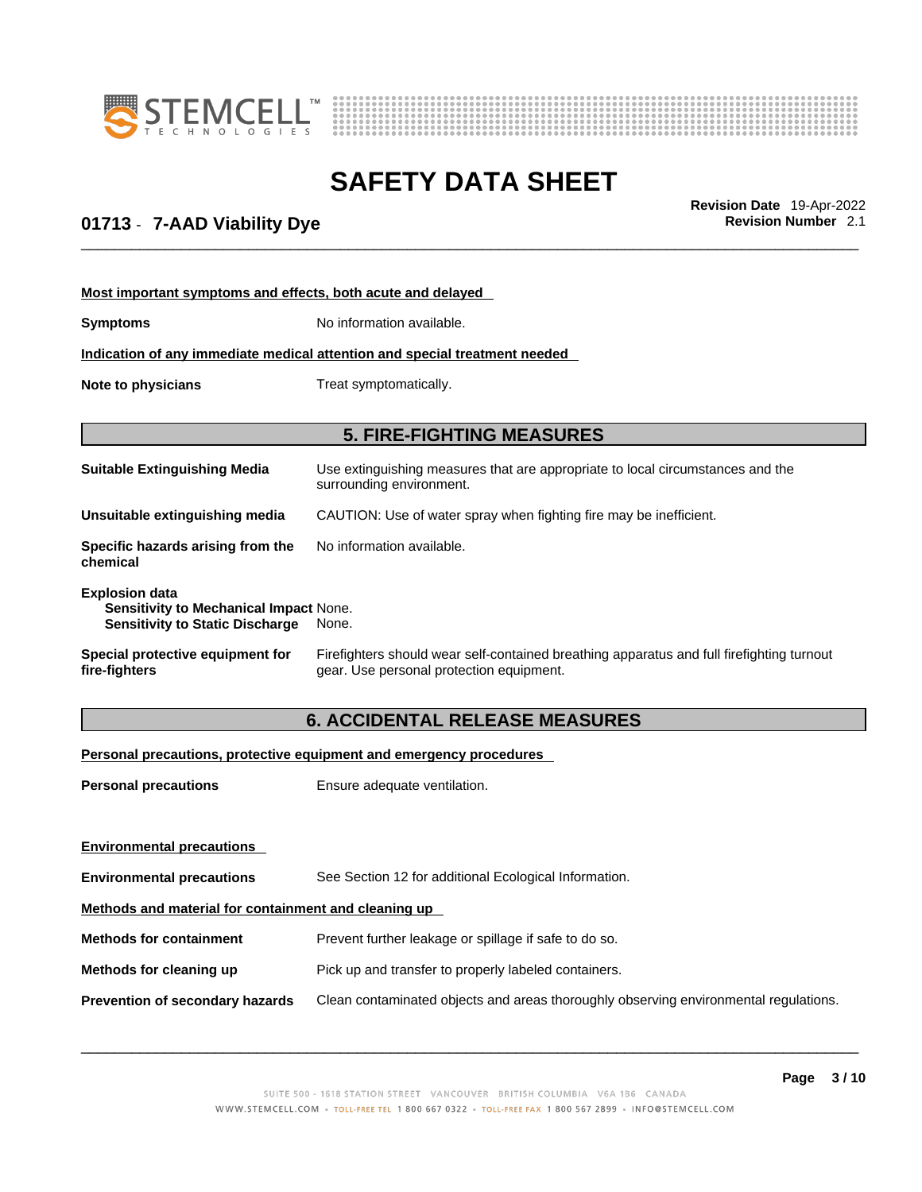



## \_\_\_\_\_\_\_\_\_\_\_\_\_\_\_\_\_\_\_\_\_\_\_\_\_\_\_\_\_\_\_\_\_\_\_\_\_\_\_\_\_\_\_\_\_\_\_\_\_\_\_\_\_\_\_\_\_\_\_\_\_\_\_\_\_\_\_\_\_\_\_\_\_\_\_\_\_\_\_\_\_\_\_\_\_\_\_\_\_\_\_\_\_ **Revision Date** 19-Apr-2022 **01713** - **7-AAD Viability Dye Revision Number** 2.1

| Most important symptoms and effects, both acute and delayed                                                      |                                                                                                                                       |  |
|------------------------------------------------------------------------------------------------------------------|---------------------------------------------------------------------------------------------------------------------------------------|--|
| <b>Symptoms</b>                                                                                                  | No information available.                                                                                                             |  |
|                                                                                                                  | Indication of any immediate medical attention and special treatment needed                                                            |  |
| Note to physicians<br>Treat symptomatically.                                                                     |                                                                                                                                       |  |
|                                                                                                                  |                                                                                                                                       |  |
|                                                                                                                  | <b>5. FIRE-FIGHTING MEASURES</b>                                                                                                      |  |
| <b>Suitable Extinguishing Media</b>                                                                              | Use extinguishing measures that are appropriate to local circumstances and the<br>surrounding environment.                            |  |
| Unsuitable extinguishing media                                                                                   | CAUTION: Use of water spray when fighting fire may be inefficient.                                                                    |  |
| Specific hazards arising from the<br>chemical                                                                    | No information available.                                                                                                             |  |
| <b>Explosion data</b><br><b>Sensitivity to Mechanical Impact None.</b><br><b>Sensitivity to Static Discharge</b> | None.                                                                                                                                 |  |
| Special protective equipment for<br>fire-fighters                                                                | Firefighters should wear self-contained breathing apparatus and full firefighting turnout<br>gear. Use personal protection equipment. |  |

### **6. ACCIDENTAL RELEASE MEASURES**

#### **Personal precautions, protective equipment and emergency procedures**

| <b>Personal precautions</b>                          | Ensure adequate ventilation.                                                         |  |
|------------------------------------------------------|--------------------------------------------------------------------------------------|--|
|                                                      |                                                                                      |  |
| <b>Environmental precautions</b>                     |                                                                                      |  |
| <b>Environmental precautions</b>                     | See Section 12 for additional Ecological Information.                                |  |
| Methods and material for containment and cleaning up |                                                                                      |  |
| <b>Methods for containment</b>                       | Prevent further leakage or spillage if safe to do so.                                |  |
| Methods for cleaning up                              | Pick up and transfer to properly labeled containers.                                 |  |
| Prevention of secondary hazards                      | Clean contaminated objects and areas thoroughly observing environmental regulations. |  |
|                                                      |                                                                                      |  |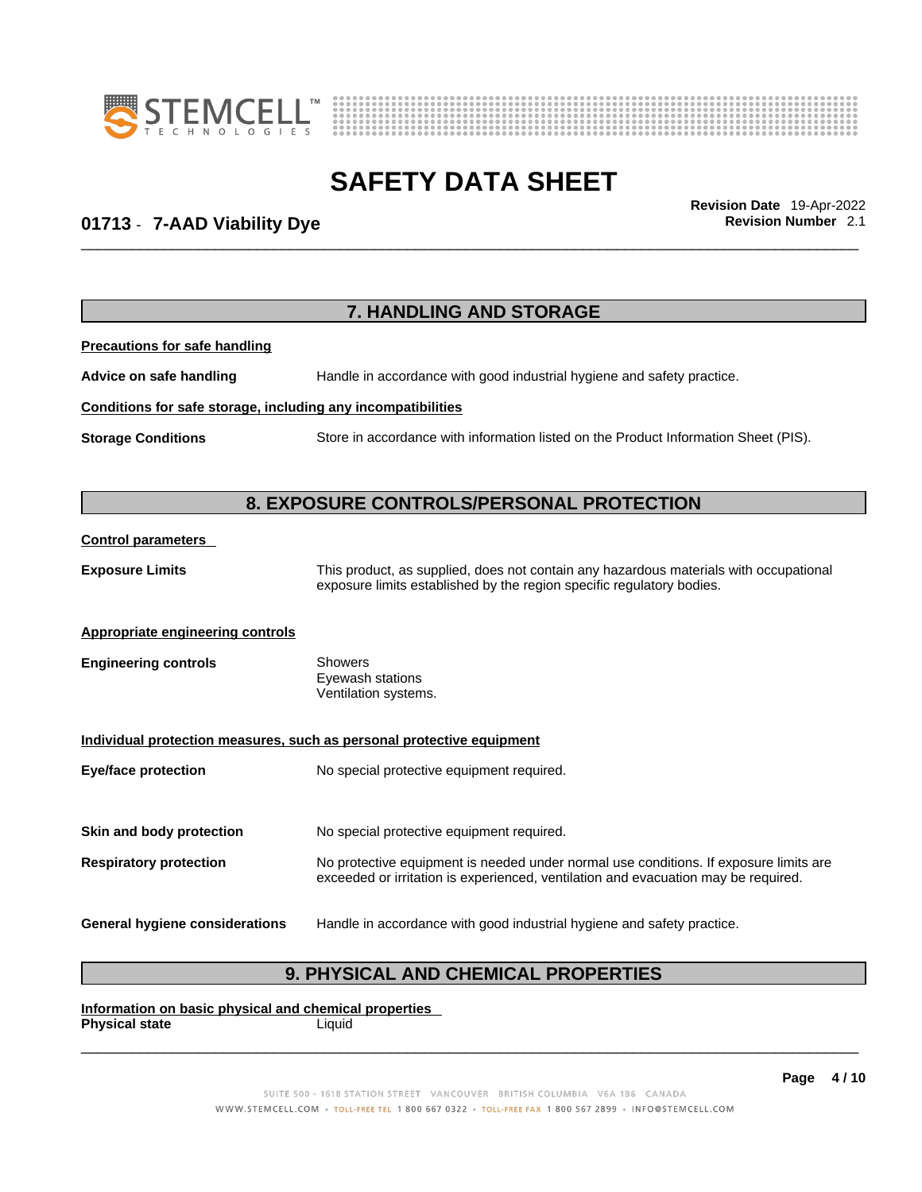



## \_\_\_\_\_\_\_\_\_\_\_\_\_\_\_\_\_\_\_\_\_\_\_\_\_\_\_\_\_\_\_\_\_\_\_\_\_\_\_\_\_\_\_\_\_\_\_\_\_\_\_\_\_\_\_\_\_\_\_\_\_\_\_\_\_\_\_\_\_\_\_\_\_\_\_\_\_\_\_\_\_\_\_\_\_\_\_\_\_\_\_\_\_ **Revision Date** 19-Apr-2022 **01713** - **7-AAD Viability Dye Revision Number** 2.1

|                                                              | 7. HANDLING AND STORAGE                                                                                                                                                     |
|--------------------------------------------------------------|-----------------------------------------------------------------------------------------------------------------------------------------------------------------------------|
| <b>Precautions for safe handling</b>                         |                                                                                                                                                                             |
| Advice on safe handling                                      | Handle in accordance with good industrial hygiene and safety practice.                                                                                                      |
| Conditions for safe storage, including any incompatibilities |                                                                                                                                                                             |
| <b>Storage Conditions</b>                                    | Store in accordance with information listed on the Product Information Sheet (PIS).                                                                                         |
|                                                              | 8. EXPOSURE CONTROLS/PERSONAL PROTECTION                                                                                                                                    |
| <b>Control parameters</b>                                    |                                                                                                                                                                             |
| <b>Exposure Limits</b>                                       | This product, as supplied, does not contain any hazardous materials with occupational<br>exposure limits established by the region specific regulatory bodies.              |
| <b>Appropriate engineering controls</b>                      |                                                                                                                                                                             |
| <b>Engineering controls</b>                                  | <b>Showers</b><br>Eyewash stations<br>Ventilation systems.                                                                                                                  |
|                                                              | Individual protection measures, such as personal protective equipment                                                                                                       |
| <b>Eye/face protection</b>                                   | No special protective equipment required.                                                                                                                                   |
| Skin and body protection                                     | No special protective equipment required.                                                                                                                                   |
| <b>Respiratory protection</b>                                | No protective equipment is needed under normal use conditions. If exposure limits are<br>exceeded or irritation is experienced, ventilation and evacuation may be required. |
| <b>General hygiene considerations</b>                        | Handle in accordance with good industrial hygiene and safety practice.                                                                                                      |

**Information on basic physical and chemical properties Physical state** Liquid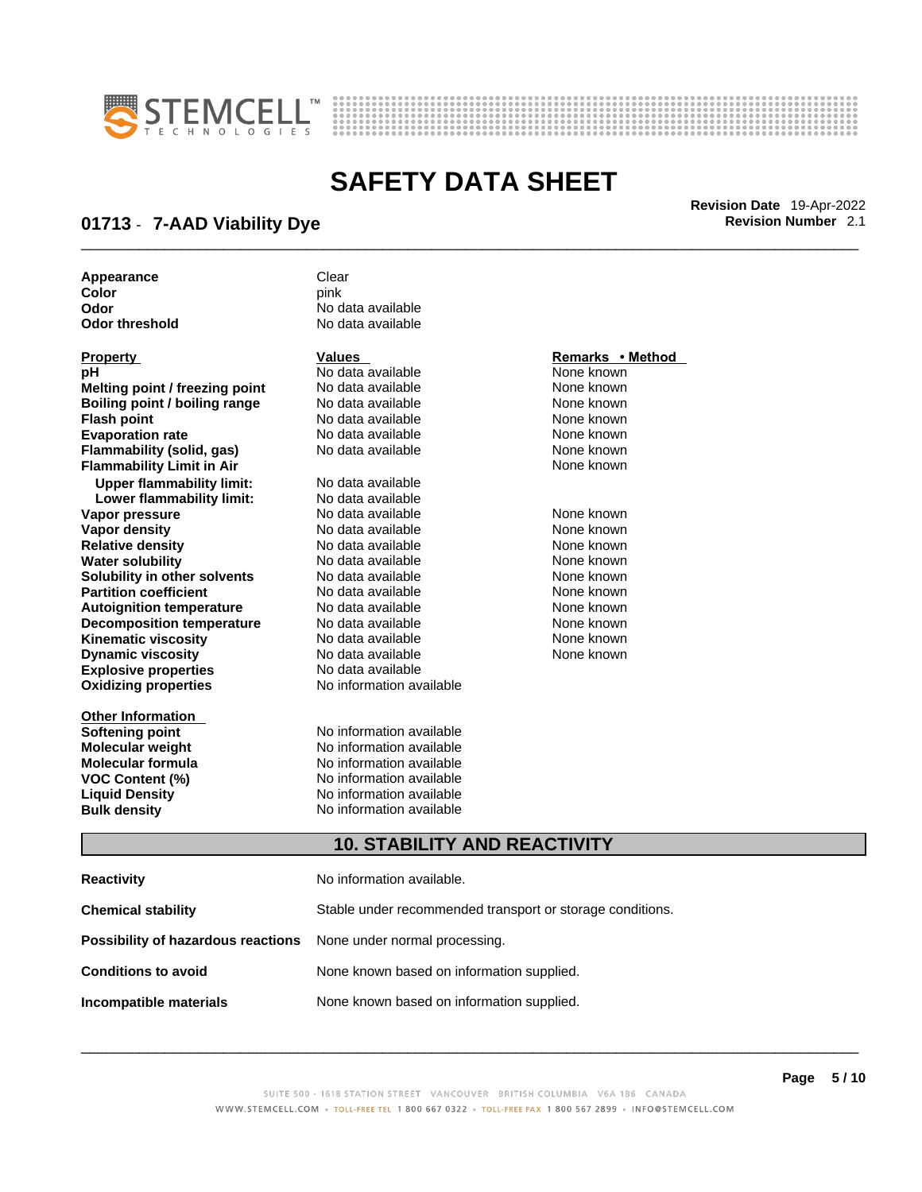



\_\_\_\_\_\_\_\_\_\_\_\_\_\_\_\_\_\_\_\_\_\_\_\_\_\_\_\_\_\_\_\_\_\_\_\_\_\_\_\_\_\_\_\_\_\_\_\_\_\_\_\_\_\_\_\_\_\_\_\_\_\_\_\_\_\_\_\_\_\_\_\_\_\_\_\_\_\_\_\_\_\_\_\_\_\_\_\_\_\_\_\_\_ **Revision Date** 19-Apr-2022

### **01713** - **7-AAD Viability Dye Revision Number** 2.1

**Appearance** Clear<br> **Color** Color Color **Color** pink **Odor** No data available

| Property                             |
|--------------------------------------|
| рH                                   |
| Melting point / freezing point       |
| <b>Boiling point / boiling range</b> |
| <b>Flash point</b>                   |
| <b>Evaporation rate</b>              |
| <b>Flammability (solid, gas)</b>     |
| <b>Flammability Limit in Air</b>     |
| <b>Upper flammability limit:</b>     |
| Lower flammability limit:            |
| Vapor pressure                       |
| <b>Vapor density</b>                 |
| <b>Relative density</b>              |
| <b>Water solubility</b>              |
| Solubility in other solvents         |
| <b>Partition coefficient</b>         |
| <b>Autoignition temperature</b>      |
| <b>Decomposition temperature</b>     |
| Kinematic viscosity                  |
| <b>Dynamic viscosity</b>             |
| <b>Explosive properties</b>          |
| <b>Oxidizing properties</b>          |
|                                      |

**Other Information** 

**No data available** 

**PH ANO data available None known**<br>
No data available None known **No data available Roidata available 1999 Mone known**<br> **Boiling** None known<br> **Roidata available None known Flash No data available None known**<br> **Flash No data available None known**<br> **Plash None known Evaporation No data available None known**<br> **Evaporation** None known<br>
None known **No data available** 

**Explosive properties** No data available **Oxidizing properties** No information available **No data available Lower flammability limit:** No data available **Vapora Available None known**<br> **Pressure No data available None known**<br>
None known **Vapor density Available** None known<br>
No data available None known **No data available No data available None known Solution Islam in Solution None known** None known **Partition Partition Coefficient Coefficient Coefficient Coefficient Coefficient Coefficient Coefficient Coefficient Coefficient Coefficient Coefficient Coefficient Coefficient Coefficient C Automische Munder None known**<br> **Automische None known**<br>
None known **No data available** No data available **None known** No data available **None known** 

**Softening point**<br> **Molecular weight**<br> **Molecular weight**<br> **Molecular weight**<br> **Molecular weight No information available Molecular formula** No information available **VOC Content (%)**<br>
Liquid Density<br>
No information available<br>
No information available **No information available Bulk density No information available** 

#### **Property Values Remarks • Method**

**Flammability Limit in Air** None known

#### **10. STABILITY AND REACTIVITY**

| Reactivity                                                              | No information available.                                 |
|-------------------------------------------------------------------------|-----------------------------------------------------------|
| Chemical stability                                                      | Stable under recommended transport or storage conditions. |
| <b>Possibility of hazardous reactions</b> None under normal processing. |                                                           |
| Conditions to avoid                                                     | None known based on information supplied.                 |
| Incompatible materials                                                  | None known based on information supplied.                 |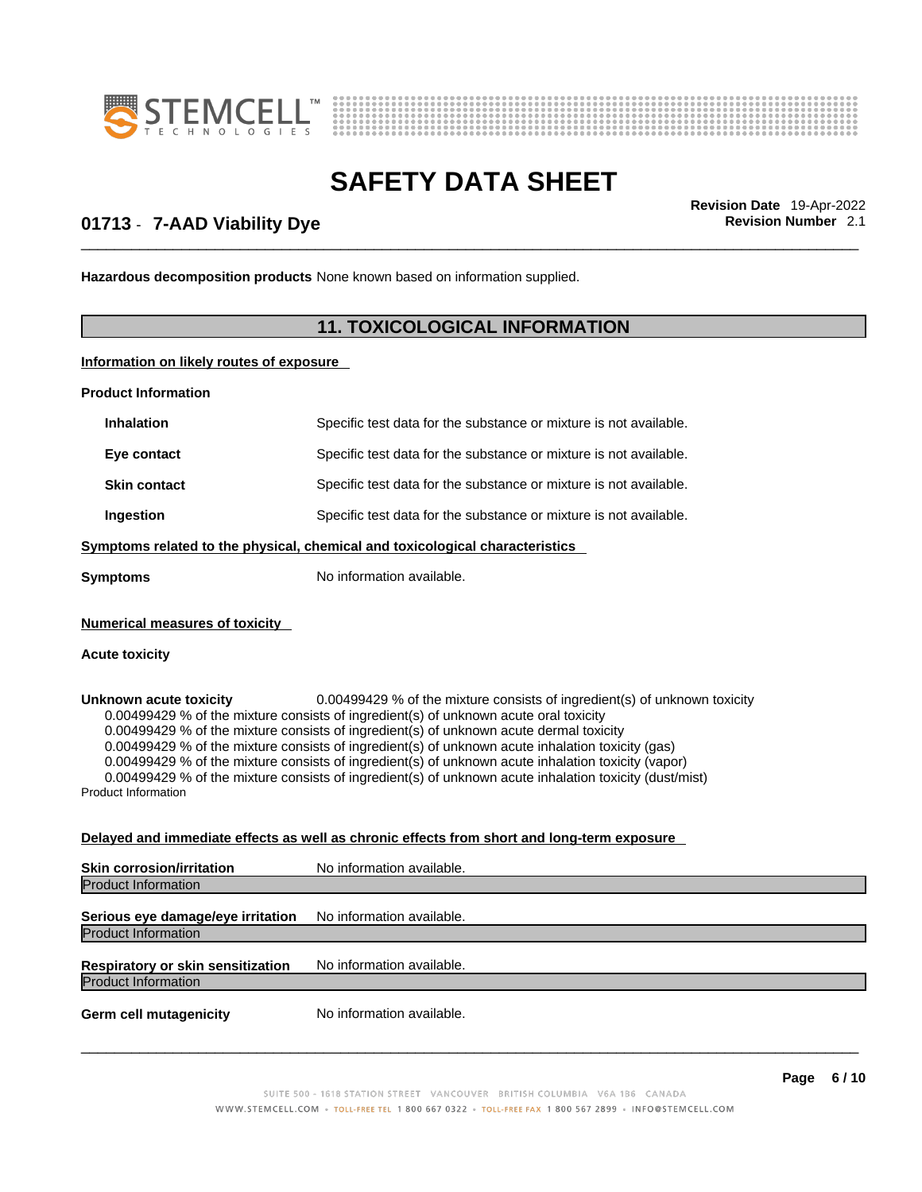



\_\_\_\_\_\_\_\_\_\_\_\_\_\_\_\_\_\_\_\_\_\_\_\_\_\_\_\_\_\_\_\_\_\_\_\_\_\_\_\_\_\_\_\_\_\_\_\_\_\_\_\_\_\_\_\_\_\_\_\_\_\_\_\_\_\_\_\_\_\_\_\_\_\_\_\_\_\_\_\_\_\_\_\_\_\_\_\_\_\_\_\_\_ **Revision Date** 19-Apr-2022

### **01713** - **7-AAD Viability Dye Revision Number** 2.1

**Hazardous decomposition products** None known based on information supplied.

#### **11. TOXICOLOGICAL INFORMATION**

#### **Information on likely routes of exposure**

**Product Information**

| <b>Inhalation</b>                                                            | Specific test data for the substance or mixture is not available. |  |
|------------------------------------------------------------------------------|-------------------------------------------------------------------|--|
| Eye contact                                                                  | Specific test data for the substance or mixture is not available. |  |
| <b>Skin contact</b>                                                          | Specific test data for the substance or mixture is not available. |  |
| Ingestion                                                                    | Specific test data for the substance or mixture is not available. |  |
| Symptoms related to the physical, chemical and toxicological characteristics |                                                                   |  |
| <b>Symptoms</b>                                                              | No information available.                                         |  |

#### **Numerical measures of toxicity**

#### **Acute toxicity**

**Unknown acute toxicity** 0.00499429 % of the mixture consists of ingredient(s) of unknown toxicity 0.00499429 % of the mixture consists of ingredient(s) of unknown acute oral toxicity  $0.00499429$  % of the mixture consists of ingredient(s) of unknown acute dermal toxicity 0.00499429 % of the mixture consists of ingredient(s) of unknown acute inhalation toxicity (gas) 0.00499429 % of the mixture consists of ingredient(s) of unknown acute inhalation toxicity (vapor) 0.00499429 % of the mixture consists of ingredient(s) of unknown acute inhalation toxicity (dust/mist) Product Information

#### **Delayed and immediate effects as well as chronic effects from short and long-term exposure**

| <b>Skin corrosion/irritation</b>                                       | No information available. |
|------------------------------------------------------------------------|---------------------------|
| <b>Product Information</b>                                             |                           |
| Serious eye damage/eye irritation<br><b>Product Information</b>        | No information available. |
| <b>Respiratory or skin sensitization</b><br><b>Product Information</b> | No information available. |
| <b>Germ cell mutagenicity</b>                                          | No information available. |
|                                                                        |                           |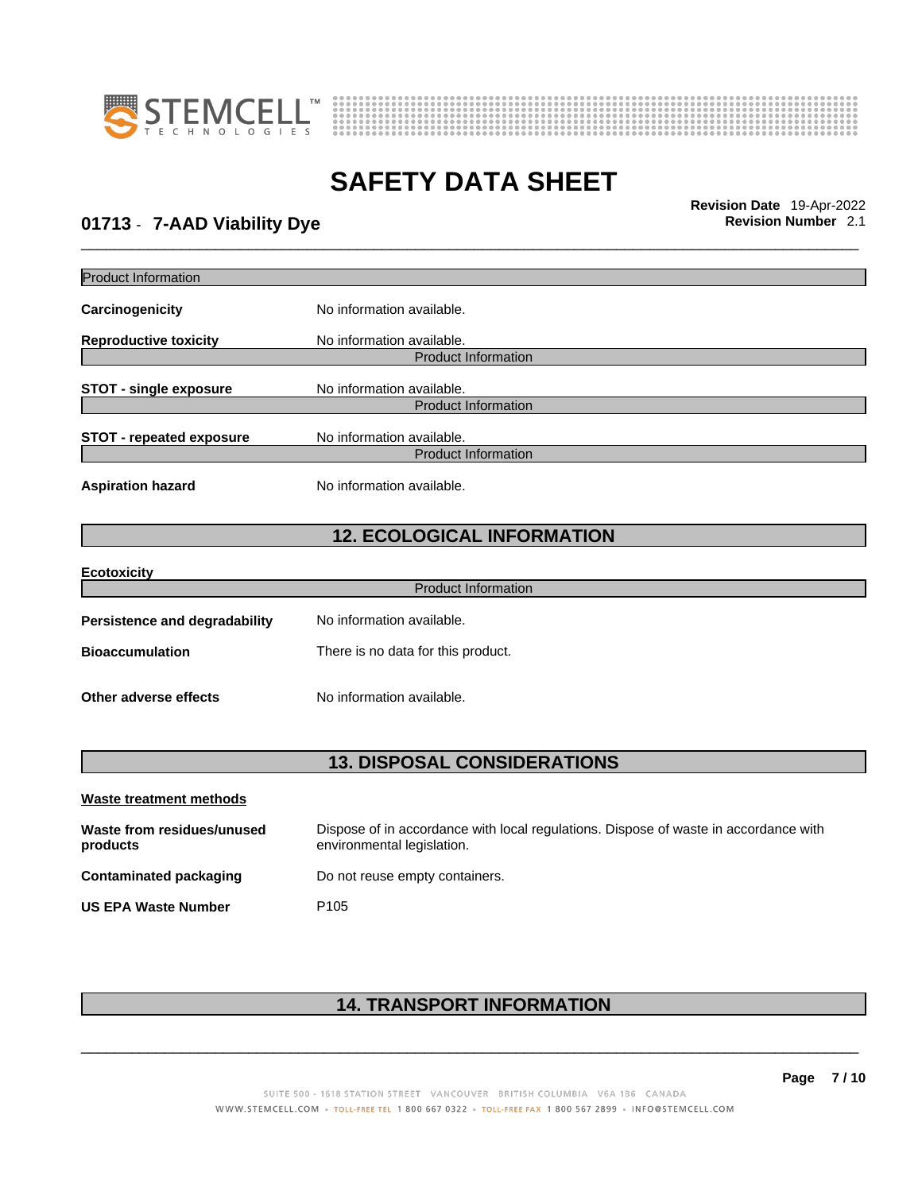



## \_\_\_\_\_\_\_\_\_\_\_\_\_\_\_\_\_\_\_\_\_\_\_\_\_\_\_\_\_\_\_\_\_\_\_\_\_\_\_\_\_\_\_\_\_\_\_\_\_\_\_\_\_\_\_\_\_\_\_\_\_\_\_\_\_\_\_\_\_\_\_\_\_\_\_\_\_\_\_\_\_\_\_\_\_\_\_\_\_\_\_\_\_ **Revision Date** 19-Apr-2022 **01713** - **7-AAD Viability Dye Revision Number** 2.1

| <b>Product Information</b>             |                                                                                                                    |
|----------------------------------------|--------------------------------------------------------------------------------------------------------------------|
| Carcinogenicity                        | No information available.                                                                                          |
| <b>Reproductive toxicity</b>           | No information available.                                                                                          |
|                                        | <b>Product Information</b>                                                                                         |
| <b>STOT - single exposure</b>          | No information available.                                                                                          |
|                                        | <b>Product Information</b>                                                                                         |
| <b>STOT - repeated exposure</b>        | No information available.                                                                                          |
|                                        | <b>Product Information</b>                                                                                         |
| <b>Aspiration hazard</b>               | No information available.                                                                                          |
|                                        | <b>12. ECOLOGICAL INFORMATION</b>                                                                                  |
|                                        |                                                                                                                    |
| <b>Ecotoxicity</b>                     | <b>Product Information</b>                                                                                         |
|                                        |                                                                                                                    |
| <b>Persistence and degradability</b>   | No information available.                                                                                          |
| <b>Bioaccumulation</b>                 | There is no data for this product.                                                                                 |
| Other adverse effects                  | No information available.                                                                                          |
|                                        |                                                                                                                    |
|                                        | <b>13. DISPOSAL CONSIDERATIONS</b>                                                                                 |
| <b>Waste treatment methods</b>         |                                                                                                                    |
| Waste from residues/unused<br>products | Dispose of in accordance with local regulations. Dispose of waste in accordance with<br>environmental legislation. |
| <b>Contaminated packaging</b>          | Do not reuse empty containers.                                                                                     |
| <b>US EPA Waste Number</b>             | P <sub>105</sub>                                                                                                   |
|                                        |                                                                                                                    |

### **14. TRANSPORT INFORMATION**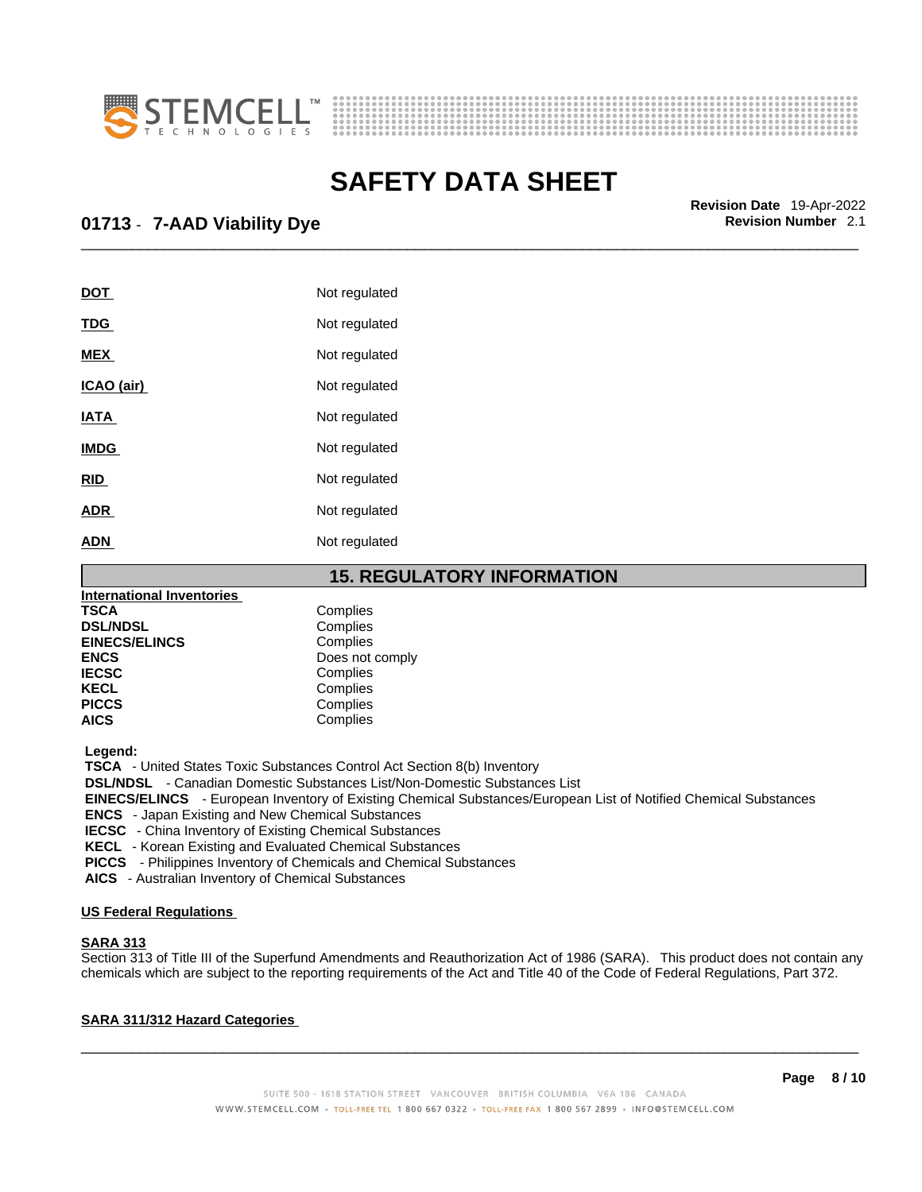



\_\_\_\_\_\_\_\_\_\_\_\_\_\_\_\_\_\_\_\_\_\_\_\_\_\_\_\_\_\_\_\_\_\_\_\_\_\_\_\_\_\_\_\_\_\_\_\_\_\_\_\_\_\_\_\_\_\_\_\_\_\_\_\_\_\_\_\_\_\_\_\_\_\_\_\_\_\_\_\_\_\_\_\_\_\_\_\_\_\_\_\_\_ **Revision Date** 19-Apr-2022

### **01713** - **7-AAD Viability Dye Revision Number** 2.1

| Not regulated |
|---------------|
| Not regulated |
| Not regulated |
| Not regulated |
| Not regulated |
| Not regulated |
| Not regulated |
| Not regulated |
| Not regulated |
|               |

**15. REGULATORY INFORMATION International Inventories TSCA** Complies<br> **DSL/NDSL** Complies **DSL/NDSL** Complies **EINECS/ELINCS**<br>ENCS **ENCS** Does not comply<br> **IECSC** Complies **IECSC** Complies<br> **IECSC** Complies **KECL Complies**<br> **PICCS** Complies **PICCS** Complies<br> **AICS** Complies **AICS** Complies

 **Legend:** 

 **TSCA** - United States Toxic Substances Control Act Section 8(b) Inventory

 **DSL/NDSL** - Canadian Domestic Substances List/Non-Domestic Substances List

 **EINECS/ELINCS** - European Inventory of Existing Chemical Substances/European List of Notified Chemical Substances

 **ENCS** - Japan Existing and New Chemical Substances

 **IECSC** - China Inventory of Existing Chemical Substances

 **KECL** - Korean Existing and Evaluated Chemical Substances

 **PICCS** - Philippines Inventory of Chemicals and Chemical Substances

 **AICS** - Australian Inventory of Chemical Substances

#### **US Federal Regulations**

#### **SARA 313**

Section 313 of Title III of the Superfund Amendments and Reauthorization Act of 1986 (SARA). This product does not contain any chemicals which are subject to the reporting requirements of the Act and Title 40 of the Code of Federal Regulations, Part 372.

#### **SARA 311/312 Hazard Categories**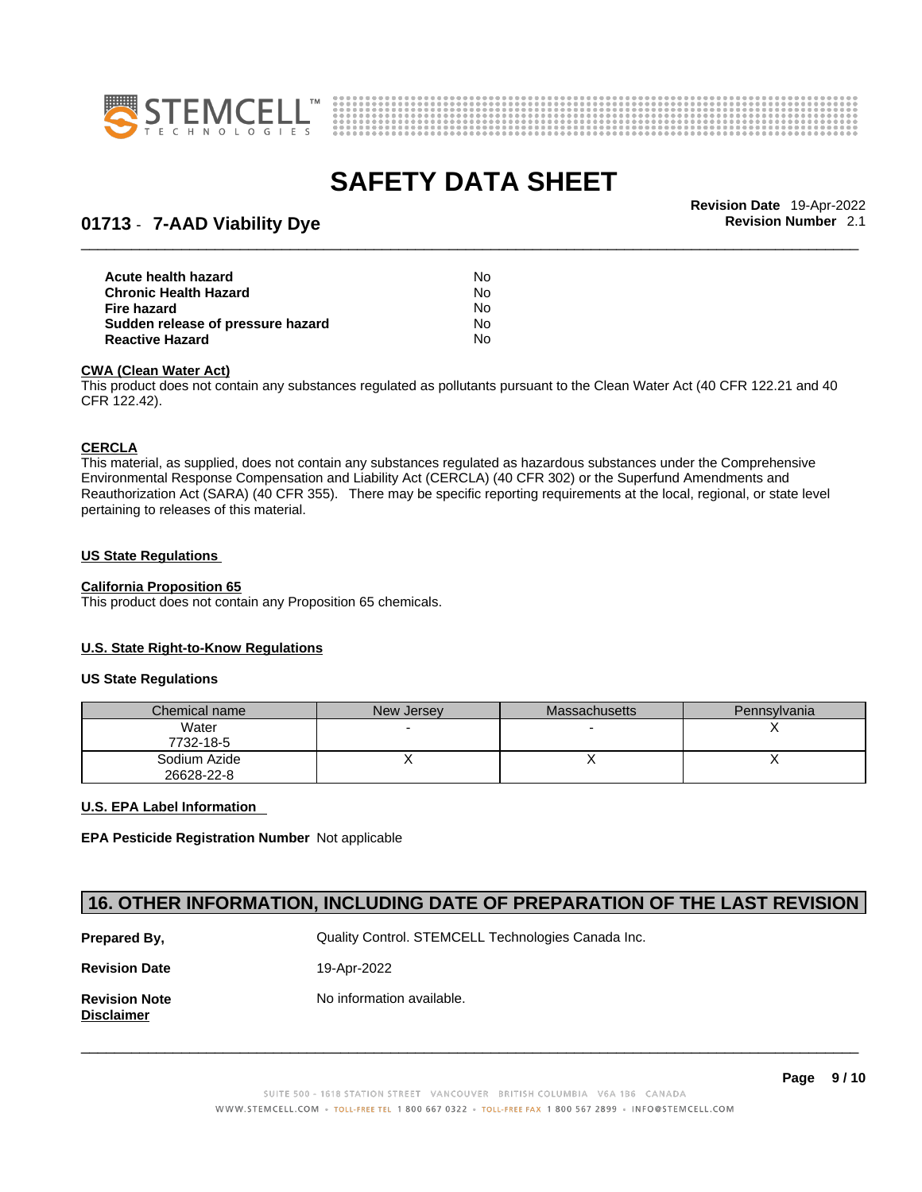



\_\_\_\_\_\_\_\_\_\_\_\_\_\_\_\_\_\_\_\_\_\_\_\_\_\_\_\_\_\_\_\_\_\_\_\_\_\_\_\_\_\_\_\_\_\_\_\_\_\_\_\_\_\_\_\_\_\_\_\_\_\_\_\_\_\_\_\_\_\_\_\_\_\_\_\_\_\_\_\_\_\_\_\_\_\_\_\_\_\_\_\_\_ **Revision Date** 19-Apr-2022

### **01713** - **7-AAD Viability Dye Revision Number** 2.1

| Acute health hazard               | No. |  |
|-----------------------------------|-----|--|
| Chronic Health Hazard             | No. |  |
| Fire hazard                       | No. |  |
| Sudden release of pressure hazard | No. |  |
| Reactive Hazard                   | No. |  |

#### **CWA** (Clean Water Act)

This product does not contain any substances regulated as pollutants pursuant to the Clean Water Act (40 CFR 122.21 and 40 CFR 122.42).

#### **CERCLA**

This material, as supplied, does not contain any substances regulated as hazardous substances under the Comprehensive Environmental Response Compensation and Liability Act (CERCLA) (40 CFR 302) or the Superfund Amendments and Reauthorization Act (SARA) (40 CFR 355). There may be specific reporting requirements at the local, regional, or state level pertaining to releases of this material.

#### **US State Regulations**

#### **California Proposition 65**

This product does not contain any Proposition 65 chemicals.

#### **U.S. State Right-to-Know Regulations**

#### **US State Regulations**

| Chemical name              | New Jersey | <b>Massachusetts</b> | Pennsylvania |
|----------------------------|------------|----------------------|--------------|
| Water<br>7732-18-5         |            |                      |              |
| Sodium Azide<br>26628-22-8 |            |                      |              |

#### **U.S. EPA Label Information**

**EPA Pesticide Registration Number** Not applicable

#### **16. OTHER INFORMATION, INCLUDING DATE OF PREPARATION OF THE LAST REVISION**

| Prepared By,                              | Quality Control. STEMCELL Technologies Canada Inc. |  |  |
|-------------------------------------------|----------------------------------------------------|--|--|
| <b>Revision Date</b>                      | 19-Apr-2022                                        |  |  |
| <b>Revision Note</b><br><b>Disclaimer</b> | No information available.                          |  |  |